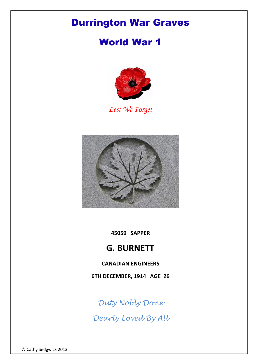## Durrington War Graves

# World War 1



*Lest We Forget*



**45059 SAPPER**

### **G. BURNETT**

### **CANADIAN ENGINEERS**

**6TH DECEMBER, 1914 AGE 26**

*Duty Nobly Done Dearly Loved By All*

© Cathy Sedgwick 2013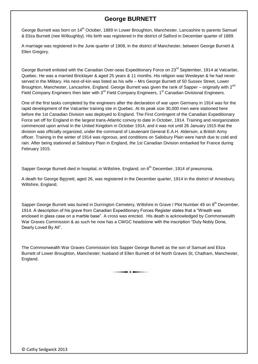### **George BURNETT**

George Burnett was born on 14<sup>th</sup> October, 1889 in Lower Broughton, Manchester, Lancashire to parents Samuel & Eliza Burnett (nee Willoughby). His birth was registered in the district of Salford in December quarter of 1889.

A marriage was registered in the June quarter of 1908, in the district of Manchester, between George Burnett & Ellen Gregory.

George Burnett enlisted with the Canadian Over-seas Expeditionary Force on 23<sup>rd</sup> September, 1914 at Valcartier, Quebec. He was a married Bricklayer & aged 25 years & 11 months. His religion was Wesleyan & he had never served in the Military. His next-of-kin was listed as his wife – Mrs George Burnett of 50 Sussex Street, Lower Broughton, Manchester, Lancashire, England. George Burnett was given the rank of Sapper – originally with 2<sup>nd</sup> Field Company Engineers then later with  $3^{rd}$  Field Company Engineers,  $1^{st}$  Canadian Divisional Engineers.

One of the first tasks completed by the engineers after the declaration of war upon [Germany](http://en.wikipedia.org/wiki/Germany) in 1914 was for the rapid development of the [Valcartier](http://en.wikipedia.org/wiki/Valcartier) training site in [Quebec.](http://en.wikipedia.org/wiki/Quebec) At its peak size 30,000 men were stationed here before the [1st Canadian Division](http://en.wikipedia.org/wiki/1st_Canadian_Division) was deployed to England. The First Contingent of the Canadian Expeditionary Force set off for England in the largest trans-Atlantic convoy to date in October, 1914. Training and reorganization commenced upon arrival in the United Kingdom in October 1914, and it was not until 26 January 1915 that the division was officially organized, under the command of [Lieutenant General](http://en.wikipedia.org/wiki/Lieutenant_General) [E.A.H. Alderson,](http://en.wikipedia.org/wiki/Edwin_Alderson) a British Army officer. Training in the winter of 1914 was rigorous, and conditions on [Salisbury Plain](http://en.wikipedia.org/wiki/Salisbury_Plain) were harsh due to cold and rain. After being stationed at Salisbury Plain in England, the 1st Canadian Division embarked for France during February 1915.

Sapper George Burnett died in hospital, in Wiltshire, England, on 6<sup>th</sup> December, 1914 of pneumonia.

A death for George Bennett, aged 26, was registered in the December quarter, 1914 in the district of Amesbury, Wiltshire, England.

Sapper George Burnett was buried in Durrington Cemetery, Wiltshire in Grave / Plot Number 49 on 8<sup>th</sup> December, 1914. A description of his grave from Canadian Expeditionary Forces Register states that a "Wreath was enclosed in glass case on a marble base". A cross was erected. His death is acknowledged by Commonwealth War Graves Commission & as such he now has a CWGC headstone with the inscription "Duty Nobly Done, Dearly Loved By All".

The Commonwealth War Graves Commission lists Sapper George Burnett as the son of Samuel and Eliza Burnett of Lower Broughton, Manchester; husband of Ellen Burnett of 64 North Graves St, Chatham, Manchester, England.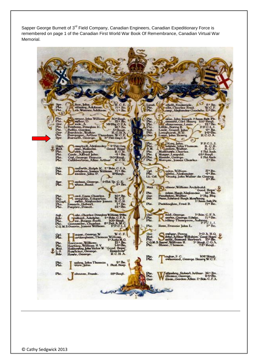Sapper George Burnett of 3<sup>rd</sup> Field Company, Canadian Engineers, Canadian Expeditionary Force is remembered on page 1 of the Canadian First World War Book Of Remembrance, Canadian Virtual War Memorial.

y, Addisor<br>rren Addi  $2<sup>h.1</sup>$ **In William**  $n$ **Th Wid** A. RCY a Arthu th Ralph K. 2"Bde<br>ion, James William  $\frac{\text{Dw}}{\text{Dw}}$ 麗· n, Willia nar<br>B\* Flat Tp. C. I 嘂 mil Colmer, William Archi Mid.  $\frac{Gur}{Ddr}$ d H. Puddington, Fred B.  $1.8$ a Edr  $17.71$ Bn. nt, Adolphe<br>Boqan Sootl<br>pe, Charles<br>fames Willie ouves, George Edu Ross, Francis John L. Ptc. 跁 orge Ħ RCHA lot-Reg  $9^{\circ}$ B **Re** 28<sup>\*</sup>Reqt Pto bert Arthur. 16\* Bn.<br>24\*Bn illici rdon Allen E-Bde.C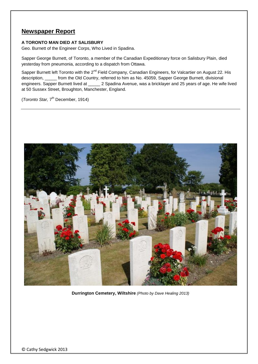#### **Newspaper Report**

#### **A TORONTO MAN DIED AT SALISBURY**

Geo. Burnett of the Engineer Corps, Who Lived in Spadina.

Sapper George Burnett, of Toronto, a member of the Canadian Expeditionary force on Salisbury Plain, died yesterday from pneumonia, according to a dispatch from Ottawa.

Sapper Burnett left Toronto with the 2<sup>nd</sup> Field Company, Canadian Engineers, for Valcartier on August 22. His description, from the Old Country, referred to him as No. 45059, Sapper George Burnett, divisional engineers. Sapper Burnett lived at \_\_\_\_\_ 2 Spadina Avenue, was a bricklayer and 25 years of age. He wife lived at 50 Sussex Street, Broughton, Manchester, England.

(*Toronto Star,* 7<sup>th</sup> December, 1914)



**Durrington Cemetery, Wiltshire** *(Photo by Dave Healing 2013)*